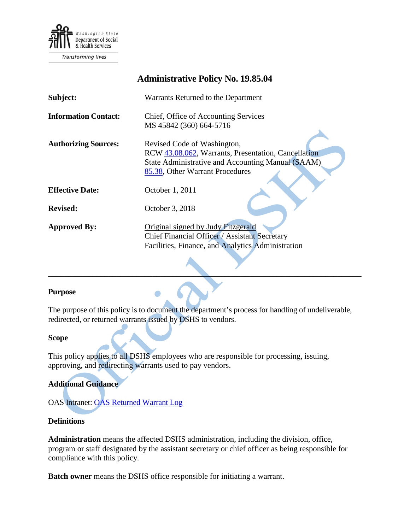

**Transforming lives** 

|                             | <b>Administrative Policy No. 19.85.04</b>            |
|-----------------------------|------------------------------------------------------|
| Subject:                    | Warrants Returned to the Department                  |
| <b>Information Contact:</b> | Chief, Office of Accounting Services                 |
|                             | MS 45842 (360) 664-5716                              |
| <b>Authorizing Sources:</b> | Revised Code of Washington,                          |
|                             | RCW 43.08.062, Warrants, Presentation, Cancellation  |
|                             | State Administrative and Accounting Manual (SAAM)    |
|                             | 85.38, Other Warrant Procedures                      |
| <b>Effective Date:</b>      | October 1, 2011                                      |
| <b>Revised:</b>             | October 3, 2018                                      |
| <b>Approved By:</b>         | Original signed by Judy Fitzgerald                   |
|                             | <b>Chief Financial Officer / Assistant Secretary</b> |
|                             | Facilities, Finance, and Analytics Administration    |
|                             |                                                      |

### **Purpose**

The purpose of this policy is to document the department's process for handling of undeliverable, redirected, or returned warrants issued by DSHS to vendors.

 $\mathcal{L} = \{ \mathcal{L} \mid \mathcal{L} \in \mathcal{L} \}$  , where  $\mathcal{L} = \{ \mathcal{L} \mid \mathcal{L} \in \mathcal{L} \}$  , where  $\mathcal{L} = \{ \mathcal{L} \mid \mathcal{L} \in \mathcal{L} \}$ 

#### **Scope**

This policy applies to all DSHS employees who are responsible for processing, issuing, approving, and redirecting warrants used to pay vendors.

### **Additional Guidance**

OAS Intranet: [OAS Returned Warrant Log](http://one.dshs.wa.lcl/FS/Fiscal/Accounting/RetWarrants/Documents/OAS%20Returned%20Warrant%20Log.xlsx)

### **Definitions**

**Administration** means the affected DSHS administration, including the division, office, program or staff designated by the assistant secretary or chief officer as being responsible for compliance with this policy.

**Batch owner** means the DSHS office responsible for initiating a warrant.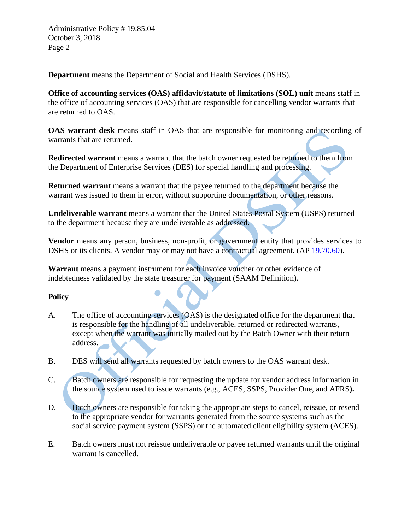Administrative Policy # 19.85.04 October 3, 2018 Page 2

**Department** means the Department of Social and Health Services (DSHS).

**Office of accounting services (OAS) affidavit/statute of limitations (SOL) unit** means staff in the office of accounting services (OAS) that are responsible for cancelling vendor warrants that are returned to OAS.

**OAS warrant desk** means staff in OAS that are responsible for monitoring and recording of warrants that are returned.

**Redirected warrant** means a warrant that the batch owner requested be returned to them from the Department of Enterprise Services (DES) for special handling and processing.

**Returned warrant** means a warrant that the payee returned to the department because the warrant was issued to them in error, without supporting documentation, or other reasons.

**Undeliverable warrant** means a warrant that the United States Postal System (USPS) returned to the department because they are undeliverable as addressed.

**Vendor** means any person, business, non-profit, or government entity that provides services to DSHS or its clients. A vendor may or may not have a contractual agreement. (AP [19.70.60\)](http://one.dshs.wa.lcl/Policies/Administrative/DSHS-AP-19-70-60.pdf).

**Warrant** means a payment instrument for each invoice voucher or other evidence of indebtedness validated by the state treasurer for payment (SAAM Definition).

## **Policy**

- A. The office of accounting services (OAS) is the designated office for the department that is responsible for the handling of all undeliverable, returned or redirected warrants, except when the warrant was initially mailed out by the Batch Owner with their return address.
- B. DES will send all warrants requested by batch owners to the OAS warrant desk.
- C. Batch owners are responsible for requesting the update for vendor address information in the source system used to issue warrants (e.g., ACES, SSPS, Provider One, and AFRS**).**
- D. Batch owners are responsible for taking the appropriate steps to cancel, reissue, or resend to the appropriate vendor for warrants generated from the source systems such as the social service payment system (SSPS) or the automated client eligibility system (ACES).
- E. Batch owners must not reissue undeliverable or payee returned warrants until the original warrant is cancelled.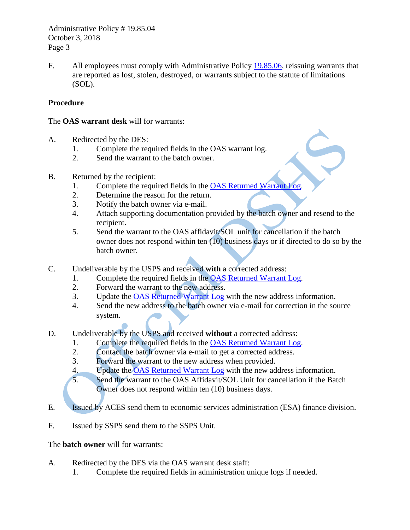Administrative Policy # 19.85.04 October 3, 2018 Page 3

F. All employees must comply with Administrative Policy [19.85.06,](http://one.dshs.wa.lcl/Policies/Administrative/DSHS-AP-19-85-06.pdf) reissuing warrants that are reported as lost, stolen, destroyed, or warrants subject to the statute of limitations (SOL).

# **Procedure**

### The **OAS warrant desk** will for warrants:

- A. Redirected by the DES:
	- 1. Complete the required fields in the OAS warrant log.
	- 2. Send the warrant to the batch owner.
- B. Returned by the recipient:
	- 1. Complete the required fields in the [OAS Returned Warrant Log.](http://one.dshs.wa.lcl/FS/Fiscal/Accounting/RetWarrants/Pages/default.aspx)
	- 2. Determine the reason for the return.
	- 3. Notify the batch owner via e-mail.
	- 4. Attach supporting documentation provided by the batch owner and resend to the recipient.
	- 5. Send the warrant to the OAS affidavit/SOL unit for cancellation if the batch owner does not respond within ten (10) business days or if directed to do so by the batch owner.
- C. Undeliverable by the USPS and received **with** a corrected address:
	- 1. Complete the required fields in the **OAS Returned Warrant Log.**<br>2. Forward the warrant to the new address.
	- Forward the warrant to the new address.
	- 3. Update the [OAS Returned Warrant Log](http://one.dshs.wa.lcl/FS/Fiscal/Accounting/RetWarrants/Pages/default.aspx) with the new address information.
	- 4. Send the new address to the batch owner via e-mail for correction in the source system.
- D. Undeliverable by the USPS and received **without** a corrected address:
	- 1. Complete the required fields in the [OAS Returned Warrant Log.](http://one.dshs.wa.lcl/FS/Fiscal/Accounting/RetWarrants/Pages/default.aspx)
	- 2. Contact the batch owner via e-mail to get a corrected address.
	- 3. Forward the warrant to the new address when provided.
	- 4. Update the [OAS Returned Warrant Log](http://one.dshs.wa.lcl/FS/Fiscal/Accounting/RetWarrants/Pages/default.aspx) with the new address information.
	- 5. Send the warrant to the OAS Affidavit/SOL Unit for cancellation if the Batch Owner does not respond within ten (10) business days.
- E. Issued by ACES send them to economic services administration (ESA) finance division.
- F. Issued by SSPS send them to the SSPS Unit.

## The **batch owner** will for warrants:

- A. Redirected by the DES via the OAS warrant desk staff:
	- 1. Complete the required fields in administration unique logs if needed.